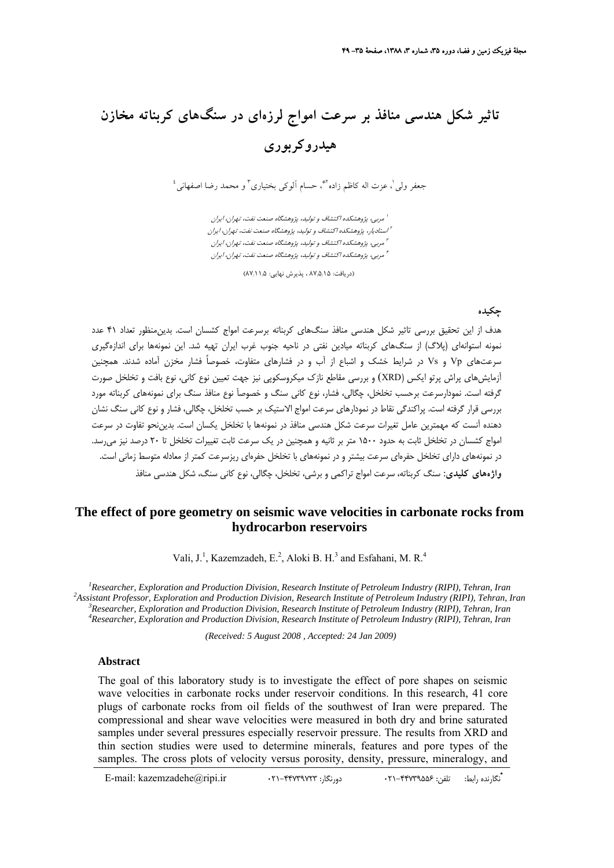# **تاثير شكل هندسي منافذ بر سرعت امواج لرزهاي در سنگهاي كربناته مخازن هيدروكربوري**

 $^{\mathfrak{t}}$ جعفر ولي  $^{\mathfrak{t}}$  ، عزت اله كاظم زاده  $^*$ ، حسام آلوكي بختيارى ۖ و محمد رضا اصفهانى

مربي، پژوهشكده اكتشاف <sup>و</sup> توليد، پژوهشگاه صنعت نفت، تهران، ايران <sup>1</sup> استاديار، پژوهشكده اكتشاف <sup>و</sup> توليد، پژوهشگاه صنعت نفت، تهران، ايران <sup>2</sup> مربي، پژوهشكده اكتشاف <sup>و</sup> توليد، پژوهشگاه صنعت نفت، تهران، ايران <sup>3</sup> مربي، پژوهشكده اكتشاف <sup>و</sup> توليد، پژوهشگاه صنعت نفت، تهران، ايران <sup>4</sup>

(دريافت: ۸۷٫۵٫۱۵ ، پذيرش نهايي: ۸۷٫۱۱٫۵)

### **چكيده**

هدف از اين تحقيق بررسي تاثير شكل هندسي منافذ سنگهاي كربناته برسرعت امواج كشسان است. بدينمنظور تعداد 41 عدد نمونه استوانهاي (پلاگ) از سنگهاي كربناته ميادين نفتي در ناحيه جنوب غرب ايران تهيه شد. اين نمونهها براي اندازهگيري سرعتهاي Vp و Vs در شرايط خشك و اشباع از آب و در فشارهاي متفاوت، خصوصاً فشار مخزن آماده شدند. همچنين آزمايشهاي پراش پرتو ايكس (XRD (و بررسي مقاطع نازك ميكروسكوپي نيز جهت تعيين نوع كاني، نوع بافت و تخلخل صورت گرفته است. نمودارسرعت برحسب تخلخل، چگالي، فشار، نوع كاني سنگ و خصوصĤ نوع منافذ سنگ براي نمونههاي كربناته مورد بررسي قرار گرفته است. پراكندگي نقاط در نمودارهاي سرعت امواج الاستيك بر حسب تخلخل، چگالي، فشار و نوع كاني سنگ نشان دهنده آنست كه مهمترين عامل تغيرات سرعت شكل هندسي منافذ در نمونهها با تخلخل يكسان است. بديننحو تفاوت در سرعت امواج كشسان در تخلخل ثابت به حدود 1500 متر بر ثانيه و همچنين در يك سرعت ثابت تغييرات تخلخل تا 20 درصد نيز ميرسد. در نمونههاي داراي تخلخل حفرهاي سرعت بيشتر و در نمونههاي با تخلخل حفرهاي ريزسرعت كمتر از معادله متوسط زماني است. **واژههاي كليدي:** سنگ كربناته، سرعت امواج تراكمي و برشي، تخلخل، چگالي، نوع كاني سنگ، شكل هندسي منافذ

# **The effect of pore geometry on seismic wave velocities in carbonate rocks from hydrocarbon reservoirs**

Vali,  $J^1$ , Kazemzadeh, E.<sup>2</sup>, Aloki B. H.<sup>3</sup> and Esfahani, M. R.<sup>4</sup>

<sup>1</sup> Researcher, Exploration and Production Division, Research Institute of Petroleum Industry (RIPI), Tehran, Iran 2<sup>2</sup> Assistant Professor, Exploration and Production Division, Peasarch Institute of Petroleum Industry (PI *Assistant Professor, Exploration and Production Division, Research Institute of Petroleum Industry (RIPI), Tehran, Iran 3* <sup>3</sup> Researcher, Exploration and Production Division, Research Institute of Petroleum Industry (RIPI), Tehran, Iran *Researcher, Exploration and Production Division, Research Institute of Petroleum Industry (RIPI), Tehran, Iran* 

 *(Received: 5 August 2008 , Accepted: 24 Jan 2009)*

#### **Abstract**

The goal of this laboratory study is to investigate the effect of pore shapes on seismic wave velocities in carbonate rocks under reservoir conditions. In this research, 41 core plugs of carbonate rocks from oil fields of the southwest of Iran were prepared. The compressional and shear wave velocities were measured in both dry and brine saturated samples under several pressures especially reservoir pressure. The results from XRD and thin section studies were used to determine minerals, features and pore types of the samples. The cross plots of velocity versus porosity, density, pressure, mineralogy, and

**\*** E-mail: kazemzadehe@ripi.ir 021-44739723 :دورنگار 021-44739556 :تلفن :رابط نگارنده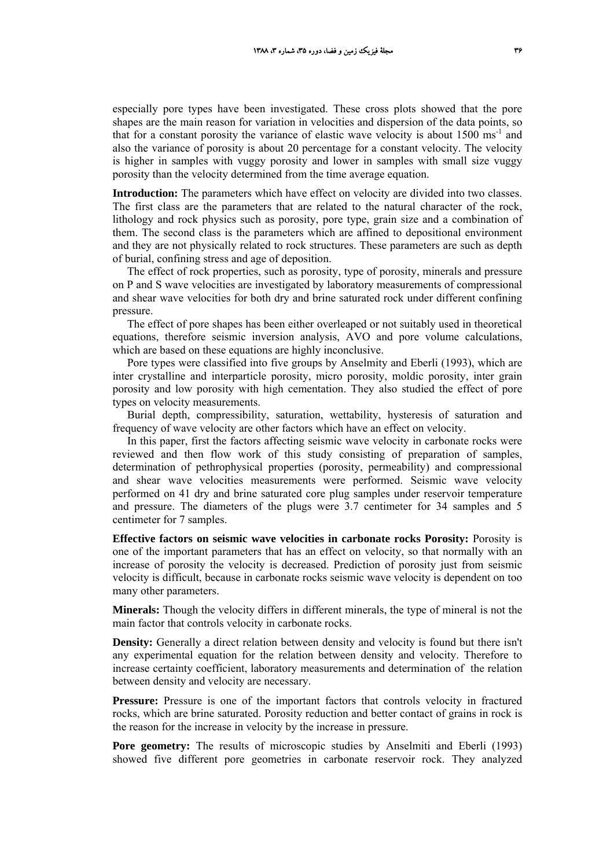especially pore types have been investigated. These cross plots showed that the pore shapes are the main reason for variation in velocities and dispersion of the data points, so that for a constant porosity the variance of elastic wave velocity is about  $1500 \text{ ms}^{-1}$  and also the variance of porosity is about 20 percentage for a constant velocity. The velocity is higher in samples with vuggy porosity and lower in samples with small size vuggy porosity than the velocity determined from the time average equation.

**Introduction:** The parameters which have effect on velocity are divided into two classes. The first class are the parameters that are related to the natural character of the rock, lithology and rock physics such as porosity, pore type, grain size and a combination of them. The second class is the parameters which are affined to depositional environment and they are not physically related to rock structures. These parameters are such as depth of burial, confining stress and age of deposition.

The effect of rock properties, such as porosity, type of porosity, minerals and pressure on P and S wave velocities are investigated by laboratory measurements of compressional and shear wave velocities for both dry and brine saturated rock under different confining pressure.

The effect of pore shapes has been either overleaped or not suitably used in theoretical equations, therefore seismic inversion analysis, AVO and pore volume calculations, which are based on these equations are highly inconclusive.

Pore types were classified into five groups by Anselmity and Eberli (1993), which are inter crystalline and interparticle porosity, micro porosity, moldic porosity, inter grain porosity and low porosity with high cementation. They also studied the effect of pore types on velocity measurements.

Burial depth, compressibility, saturation, wettability, hysteresis of saturation and frequency of wave velocity are other factors which have an effect on velocity.

In this paper, first the factors affecting seismic wave velocity in carbonate rocks were reviewed and then flow work of this study consisting of preparation of samples, determination of pethrophysical properties (porosity, permeability) and compressional and shear wave velocities measurements were performed. Seismic wave velocity performed on 41 dry and brine saturated core plug samples under reservoir temperature and pressure. The diameters of the plugs were 3.7 centimeter for 34 samples and 5 centimeter for 7 samples.

**Effective factors on seismic wave velocities in carbonate rocks Porosity:** Porosity is one of the important parameters that has an effect on velocity, so that normally with an increase of porosity the velocity is decreased. Prediction of porosity just from seismic velocity is difficult, because in carbonate rocks seismic wave velocity is dependent on too many other parameters.

**Minerals:** Though the velocity differs in different minerals, the type of mineral is not the main factor that controls velocity in carbonate rocks.

**Density:** Generally a direct relation between density and velocity is found but there isn't any experimental equation for the relation between density and velocity. Therefore to increase certainty coefficient, laboratory measurements and determination of the relation between density and velocity are necessary.

**Pressure:** Pressure is one of the important factors that controls velocity in fractured rocks, which are brine saturated. Porosity reduction and better contact of grains in rock is the reason for the increase in velocity by the increase in pressure.

Pore geometry: The results of microscopic studies by Anselmiti and Eberli (1993) showed five different pore geometries in carbonate reservoir rock. They analyzed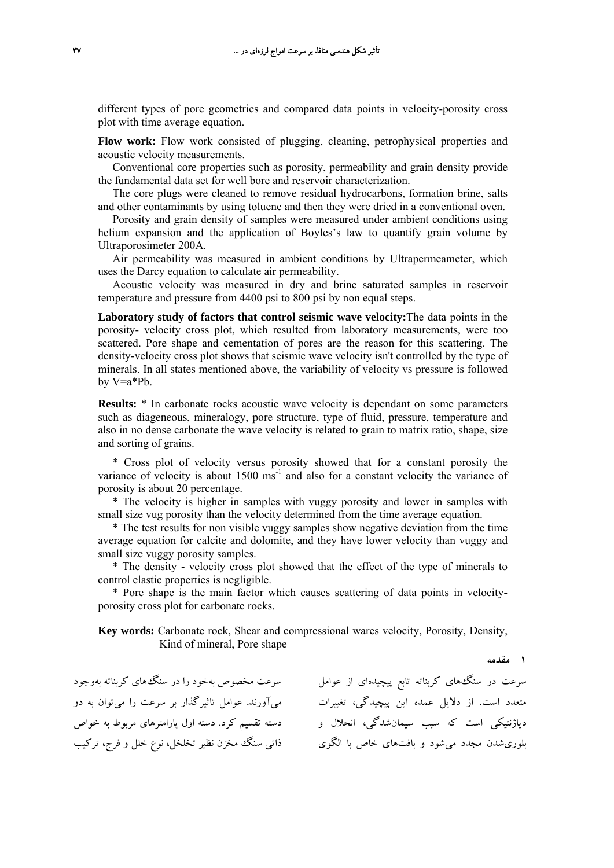different types of pore geometries and compared data points in velocity-porosity cross plot with time average equation.

**Flow work:** Flow work consisted of plugging, cleaning, petrophysical properties and acoustic velocity measurements.

Conventional core properties such as porosity, permeability and grain density provide the fundamental data set for well bore and reservoir characterization.

The core plugs were cleaned to remove residual hydrocarbons, formation brine, salts and other contaminants by using toluene and then they were dried in a conventional oven.

Porosity and grain density of samples were measured under ambient conditions using helium expansion and the application of Boyles's law to quantify grain volume by Ultraporosimeter 200A.

Air permeability was measured in ambient conditions by Ultrapermeameter, which uses the Darcy equation to calculate air permeability.

Acoustic velocity was measured in dry and brine saturated samples in reservoir temperature and pressure from 4400 psi to 800 psi by non equal steps.

**Laboratory study of factors that control seismic wave velocity:**The data points in the porosity- velocity cross plot, which resulted from laboratory measurements, were too scattered. Pore shape and cementation of pores are the reason for this scattering. The density-velocity cross plot shows that seismic wave velocity isn't controlled by the type of minerals. In all states mentioned above, the variability of velocity vs pressure is followed by V=a\*Pb.

**Results:**  $*$  In carbonate rocks acoustic wave velocity is dependant on some parameters such as diageneous, mineralogy, pore structure, type of fluid, pressure, temperature and also in no dense carbonate the wave velocity is related to grain to matrix ratio, shape, size and sorting of grains.

\* Cross plot of velocity versus porosity showed that for a constant porosity the variance of velocity is about  $1500 \text{ ms}^{-1}$  and also for a constant velocity the variance of porosity is about 20 percentage.

\* The velocity is higher in samples with vuggy porosity and lower in samples with small size vug porosity than the velocity determined from the time average equation.

\* The test results for non visible vuggy samples show negative deviation from the time average equation for calcite and dolomite, and they have lower velocity than vuggy and small size vuggy porosity samples.

\* The density - velocity cross plot showed that the effect of the type of minerals to control elastic properties is negligible.

\* Pore shape is the main factor which causes scattering of data points in velocityporosity cross plot for carbonate rocks.

**Key words:** Carbonate rock, Shear and compressional wares velocity, Porosity, Density, Kind of mineral, Pore shape

**1 مقدمه**

متعدد است. از دلايل عمده اين پيچيدگي، تغييرات ميآورند. عوامل تاثيرگذار بر سرعت را ميتوان به دو دیاژنتیكی است كه سبب سیمانشدگی، انحلال و دسته تقسیم كرد. دسته اول پارامترهای مربوط به خواص بلوریشدن مجدد میشود و بافتهای خاص با الگوی ذاتی سنگ مخزن نظیر تخلخل، نوع خلل و فرج، ترکیب

سرعت در سنگهاي كربناته تابع پيچيدهاي از عوامل سرعت مخصوص بهخود را در سنگهاي كربناته بهوجود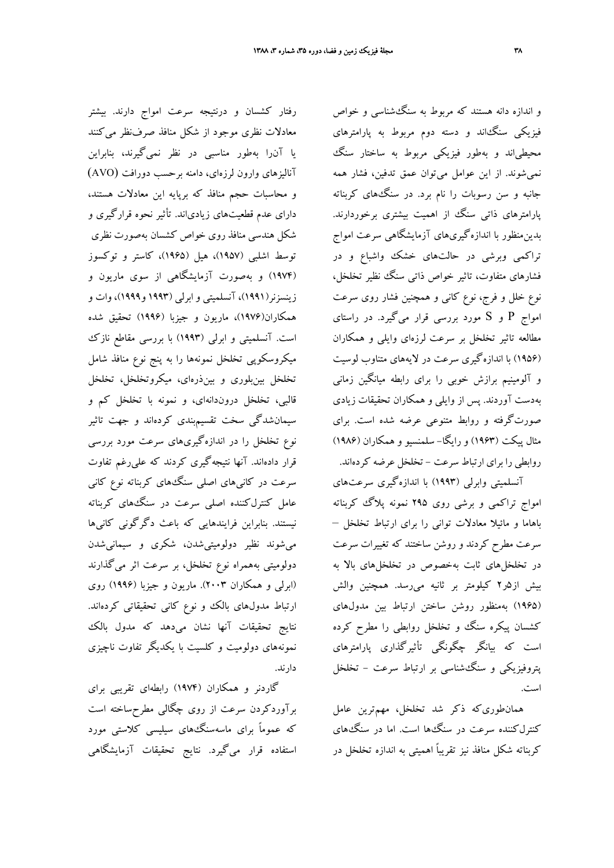رفتار كشسان و درنتيجه سرعت امواج دارند. بيشتر معادلات نظري موجود از شكل منافذ صرفنظر ميكنند يا آنرا بهطور مناسبي در نظر نميگيرند، بنابراين آناليزهاي وارون لرزهاي، دامنه برحسب دورافت (AVO( و محاسبات حجم منافذ كه برپايه اين معادلات هستند، داراي عدم قطعيتهاي زيادياند. تأثير نحوه قرارگيري و شكل هندسي منافذ روي خواص كشسان بهصورت نظري توسط اشلبي (1957)، هيل (1965)، كاستر و توكسوز (1974) و بهصورت آزمايشگاهي از سوي ماريون و زينسزنر(1991)، آنسلميتي و ابرلي (1993 و1999)، وات و همكاران(1976)، ماريون و جيزبا (1996) تحقيق شده است. آنسلميتي و ابرلي (1993) با بررسي مقاطع نازك ميكروسكوپي تخلخل نمونهها را به پنج نوع منافذ شامل تخلخل بينبلوري و بينذرهاي، ميكروتخلخل، تخلخل قالبي، تخلخل دروندانهاي، و نمونه با تخلخل كم و سيمانشدگي سخت تقسيمبندي كردهاند و جهت تاثير نوع تخلخل را در اندازهگيريهاي سرعت مورد بررسي قرار دادهاند. آنها نتيجهگيري كردند كه عليرغم تفاوت سرعت در كانيهاي اصلي سنگهاي كربناته نوع كاني عامل كنترلكننده اصلي سرعت در سنگهاي كربناته نيستند. بنابراين فرايندهايي كه باعث دگرگوني كانيها ميشوند نظير دولوميتيشدن، شكري و سيمانيشدن دولوميتي بههمراه نوع تخلخل، بر سرعت اثر ميگذارند (ابرلي و همكاران 2003). ماريون و جيزبا (1996) روي ارتباط مدولهاي بالك و نوع كاني تحقيقاتي كردهاند. نتايج تحقيقات آنها نشان ميدهد كه مدول بالك نمونههاي دولوميت و كلسيت با يكديگر تفاوت ناچيزي دارند.

گاردنر و همكاران (1974) رابطهاي تقريبي براي برآوردكردن سرعت از روي چگالي مطرحساخته است كه عموماً براي ماسهسنگهاي سيليسي كلاستي مورد استفاده قرار ميگيرد. نتايج تحقيقات آزمايشگاهي

و اندازه دانه هستند كه مربوط به سنگشناسي و خواص فيزيكي سنگاند و دسته دوم مربوط به پارامترهاي محيطياند و بهطور فيزيكي مربوط به ساختار سنگ نميشوند. از اين عوامل ميتوان عمق تدفين، فشار همه جانبه و سن رسوبات را نام برد. در سنگهاي كربناته پارامترهاي ذاتي سنگ از اهميت بيشتري برخوردارند. بدينمنظور با اندازهگيريهاي آزمايشگاهي سرعت امواج تراكمي وبرشي در حالتهاي خشك واشباع و در فشارهاي متفاوت، تاثير خواص ذاتي سنگ نظير تخلخل، نوع خلل و فرج، نوع كاني و همچنين فشار روي سرعت امواج P و S مورد بررسي قرار ميگيرد. در راستاي مطالعه تاثير تخلخل بر سرعت لرزهاي وايلي و همكاران (1956) با اندازهگيري سرعت در لايههاي متناوب لوسيت و آلومينيم برازش خوبي را براي رابطه ميانگين زماني بهدست آوردند. پس از وايلي و همكاران تحقيقات زيادي صورتگرفته و روابط متنوعي عرضه شده است. براي مثال پيكت (1963) و رايگا- سلمنسيو و همكاران (1986) روابطي را براي ارتباط سرعت - تخلخل عرضه كردهاند.

آنسلميتي وابرلي (1993) با اندازهگيري سرعتهاي امواج تراكمي و برشي روي 295 نمونه پلاگ كربناته باهاما و مائيلا معادلات تواني را براي ارتباط تخلخل – سرعت مطرح كردند و روشن ساختند كه تغييرات سرعت در تخلخلهاي ثابت بهخصوص در تخلخلهاي بالا به بيش از5ر2 كيلومتر بر ثانيه ميرسد. همچنين والش (1965) بهمنظور روشن ساختن ارتباط بين مدولهاي كشسان پيكره سنگ و تخلخل روابطي را مطرح كرده است كه بيانگر چگونگي تأثيرگذاري پارامترهاي پتروفيزيكي و سنگشناسي بر ارتباط سرعت - تخلخل است.

همانطوريكه ذكر شد تخلخل، مهمترين عامل كنترلكننده سرعت در سنگها است. اما در سنگهاي كربناته شكل منافذ نيز تقريباً اهميتي به اندازه تخلخل در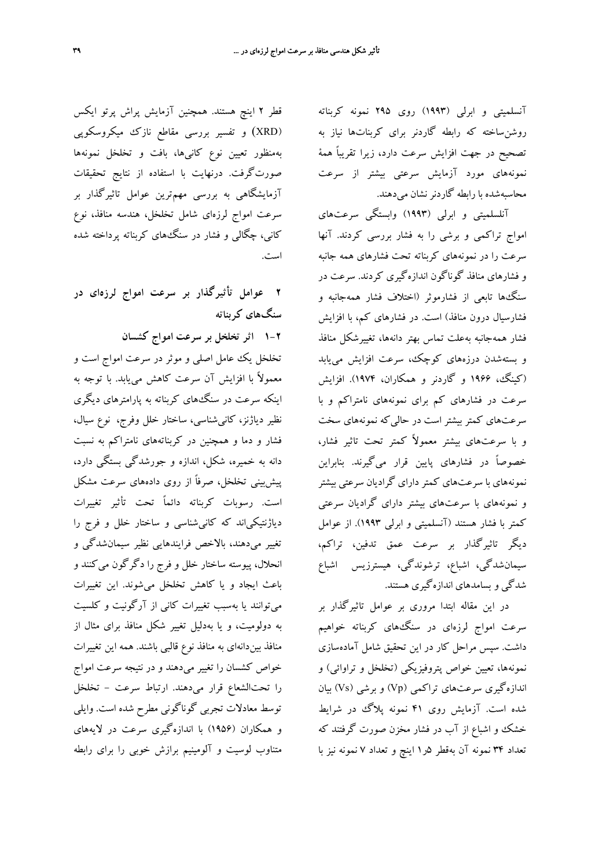آنسلميتي و ابرلي (1993) روي 295 نمونه كربناته روشنساخته كه رابطه گاردنر براي كربناتها نياز به تصحيح در جهت افزايش سرعت دارد، زيرا تقريباً همة نمونههاي مورد آزمايش سرعتي بيشتر از سرعت محاسبهشده با رابطه گاردنرنشان ميدهند.

آنلسلميتي و ابرلي (1993) وابستگي سرعتهاي امواج تراكمي و برشي را به فشار بررسي كردند. آنها سرعت را در نمونههاي كربناته تحت فشارهاي همه جانبه و فشارهاي منافذ گوناگون اندازهگيري كردند. سرعت در سنگها تابعي از فشارموثر (اختلاف فشار همهجانبه و فشارسيال درون منافذ) است. در فشارهاي كم، با افزايش فشار همهجانبه بهعلت تماس بهتر دانهها، تغييرشكل منافذ و بستهشدن درزههاي كوچك، سرعت افزايش مييابد (كينگ، 1966 و گاردنر و همكاران، 1974). افزايش سرعت در فشارهاي كم براي نمونههاي نامتراكم و با سرعتهاي كمتر بيشتر است در حاليكه نمونههاي سخت و با سرعتهاي بيشتر معمولاً كمتر تحت تاثير فشار، خصوصاً در فشارهاي پايين قرار ميگيرند. بنابراين نمونههاي با سرعتهاي كمتر داراي گراديان سرعتي بيشتر و نمونههاي با سرعتهاي بيشتر داراي گراديان سرعتي كمتر با فشار هستند (آنسلميتي و ابرلي 1993). از عوامل ديگر تاثيرگذار بر سرعت عمق تدفين، تراكم، سيمانشدگي، اشباع، ترشوندگي، هيسترزيس اشباع شدگي و بسامدهاي اندازهگيري هستند.

در اين مقاله ابتدا مروري بر عوامل تاثيرگذار بر سرعت امواج لرزهاي در سنگهاي كربناته خواهيم داشت. سپس مراحل كار در اين تحقيق شامل آمادهسازي نمونهها، تعيين خواص پتروفيزيكي (تخلخل و تراوائي) و اندازهگيري سرعتهاي تراكمي (Vp (و برشي (Vs (بيان شده است. آزمايش روي 41 نمونه پلاگ در شرايط خشك و اشباع از آب در فشار مخزن صورت گرفتند كه تعداد 34 نمونه آن بهقطر 5ر1 اينچ و تعداد 7 نمونه نيز با

قطر 2 اينچ هستند. همچنين آزمايش پراش پرتو ايكس (XRD (و تفسير بررسي مقاطع نازك ميكروسكوپي بهمنظور تعيين نوع كانيها، بافت و تخلخل نمونهها صورتگرفت. درنهايت با استفاده از نتايج تحقيقات آزمايشگاهي به بررسي مهمترين عوامل تاثيرگذار بر سرعت امواج لرزهاي شامل تخلخل، هندسه منافذ، نوع كاني، چگالي و فشار در سنگهاي كربناته پرداخته شده است.

**2 عوامل تأثيرگذار بر سرعت امواج لرزهاي در سنگهاي كربناته**

**1-2 اثر تخلخل بر سرعت امواج كشسان**

تخلخل يك عامل اصلي و موثر در سرعت امواج است و معمولاً با افزايش آن سرعت كاهش مييابد. با توجه به اينكه سرعت در سنگهاي كربناته به پارامترهاي ديگري نظير دياژنز، كانيشناسي، ساختار خلل وفرج، نوع سيال، فشار و دما و همچنين در كربناتههاي نامتراكم به نسبت دانه به خميره، شكل، اندازه و جورشدگي بستگي دارد، پيشبيني تخلخل، صرفاً از روي دادههاي سرعت مشكل است. رسوبات كربناته دائماً تحت تأثير تغييرات دياژنتيكياند كه كانيشناسي و ساختار خلل و فرج را تغيير ميدهند، بالاخص فرايندهايي نظير سيمانشدگي و انحلال، پيوسته ساختار خلل و فرج را دگرگون ميكنند و باعث ايجاد و يا كاهش تخلخل ميشوند. اين تغييرات ميتوانند يا بهسبب تغييرات كاني از آرگونيت و كلسيت به دولوميت، و يا بهدليل تغيير شكل منافذ براي مثال از منافذ بيندانهاي به منافذ نوع قالبي باشند. همه اين تغييرات خواص كشسان را تغيير ميدهند و در نتيجه سرعت امواج را تحتالشعاع قرار ميدهند. ارتباط سرعت - تخلخل توسط معادلات تجربي گوناگوني مطرح شده است. وايلي و همكاران (1956) با اندازهگيري سرعت در لايههاي متناوب لوسيت و آلومينيم برازش خوبي را براي رابطه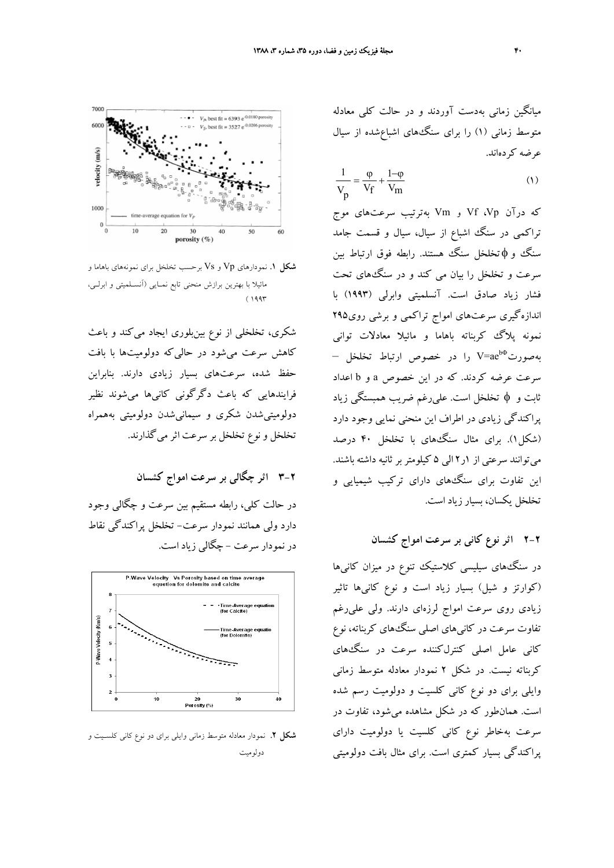

**شكل .1** نمودارهاي Vp و Vs برحسب تخلخل براي نمونههاي باهاما و مائيلا با بهترين برازش منحني تابع نمـايي (آنسـلميتي و ابرلـي،  $(1997$ 

شكري، تخلخلي از نوع بينبلوري ايجاد ميكند و باعث كاهش سرعت ميشود در حاليكه دولوميتها با بافت حفظ شده، سرعتهاي بسيار زيادي دارند. بنابراين فرايندهايي كه باعث دگرگوني كانيها ميشوند نظير دولوميتيشدن شكري و سيمانيشدن دولوميتي بههمراه تخلخل و نوع تخلخل بر سرعت اثر ميگذارند.

**3-2 اثر چگالي بر سرعت امواج كشسان**

در حالت كلي، رابطه مستقيم بين سرعت و چگالي وجود دارد ولي همانند نمودار سرعت- تخلخل پراكندگي نقاط در نمودار سرعت - چگالي زياد است.



**شكل .2** نمودار معادله متوسط زماني وايلي براي دو نوع كاني كلسـيت و دولوميت

ميانگين زماني بهدست آوردند و در حالت كلي معادله متوسط زماني (1) را براي سنگهاي اشباعشده از سيال عرضه كردهاند.

$$
\frac{1}{V_p} = \frac{\varphi}{V_f} + \frac{1-\varphi}{V_m}
$$
 (1)

كه درآن Vp، Vf و Vm بهترتيب سرعتهاي موج تراكمي در سنگ اشباع از سيال، سيال و قسمت جامد سنگ و φتخلخل سنگ هستند. رابطه فوق ارتباط بين سرعت و تخلخل را بيان مي كند و در سنگهاي تحت فشار زياد صادق است. آنسلميتي وابرلي (1993) با اندازهگيري سرعتهاي امواج تراكمي و برشي روي295 نمونه پلاگ كربناته باهاما و مائيلا معادلات تواني V=ae بهصورت را در خصوص ارتباط تخلخل – <sup>b</sup><sup>Φ</sup> سرعت عرضه كردند. كه در اين خصوص a و b اعداد ثابت و φ تخلخل است. عليرغم ضريب همبستگي زياد پراكندگي زيادي در اطراف اين منحني نمايي وجود دارد (شكل1). براي مثال سنگهاي با تخلخل 40 درصد ميتوانند سرعتي از 1ر2 الي 5 كيلومتربر ثانيه داشته باشند. اين تفاوت براي سنگهاي داراي تركيب شيميايي و تخلخل يكسان، بسيار زياد است.

**2-2 اثر نوع كاني بر سرعت امواج كشسان**

در سنگهاي سيليسي كلاستيك تنوع در ميزان كانيها (كوارتز و شيل) بسيار زياد است و نوع كانيها تاثير زيادي روي سرعت امواج لرزهاي دارند. ولي عليرغم تفاوت سرعت در كانيهاي اصلي سنگهاي كربناته، نوع كاني عامل اصلي كنترلكننده سرعت در سنگهاي كربناته نيست. در شكل 2 نمودار معادله متوسط زماني وايلي براي دو نوع كاني كلسيت و دولوميت رسم شده است. همانطور كه در شكل مشاهده ميشود، تفاوت در سرعت بهخاطر نوع كاني كلسيت يا دولوميت داراي پراكندگي بسيار كمتري است. براي مثال بافت دولوميتي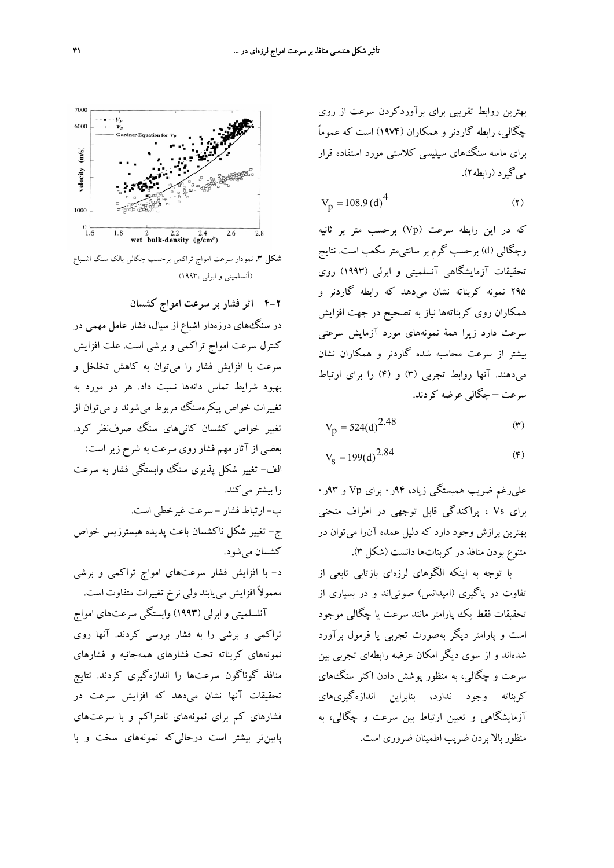بهترين روابط تقريبي براي برآوردكردن سرعت از روي چگالي، رابطه گاردنر و همكاران (1974) است كه عموماً براي ماسه سنگهاي سيليسي كلاستي مورد استفاده قرار ميگيرد (رابطه2).

$$
V_p = 108.9 \, (d)^4 \tag{7}
$$

كه در اين رابطه سرعت (Vp (برحسب متر بر ثانيه وچگالي (d (برحسب گرم بر سانتيمتر مكعب است. نتايج تحقيقات آزمايشگاهي آنسلميتي و ابرلي (1993) روي 295 نمونه كربناته نشان ميدهد كه رابطه گاردنر و همكاران روي كربناتهها نياز به تصحيح در جهت افزايش سرعت دارد زيرا همة نمونههاي مورد آزمايش سرعتي بيشتر از سرعت محاسبه شده گاردنر و همكاران نشان ميدهند. آنها روابط تجربي (3) و (4) را براي ارتباط سرعت – چگالي عرضه كردند.

$$
V_p = 524(d)^{2.48}
$$
 (7)

$$
V_{\rm s} = 199(d)^{2.84} \tag{8}
$$

عليرغم ضريب همبستگي زياد، 94ر0 براي Vp و 93ر0 براي Vs ، پراكندگي قابل توجهي در اطراف منحني بهترين برازش وجود دارد كه دليل عمده آنرا ميتوان در متنوع بودن منافذ در كربناتها دانست (شكل 3).

با توجه به اينكه الگوهاي لرزهاي بازتابي تابعي از تفاوت در پاگيري (امپدانس) صوتياند و در بسياري از تحقيقات فقط يك پارامتر مانند سرعت يا چگالي موجود است و پارامتر ديگر بهصورت تجربي يا فرمول برآورد شدهاند و از سوي ديگر امكان عرضه رابطهاي تجربي بين سرعت و چگالي، به منظور پوشش دادن اكثر سنگهاي كربناته وجود ندارد، بنابراين اندازهگيريهاي آزمايشگاهي و تعيين ارتباط بين سرعت و چگالي، به منظور بالا بردن ضريب اطمينان ضروري است.



**شكل .3** نمودار سرعت امواج تراكمي برحسب چگالي بالك سنگ اشـباع (آنسلميتي و ابرلي 1993،)

**4-2 اثر فشار بر سرعت امواج كشسان** در سنگهاي درزهدار اشباع از سيال، فشار عامل مهمي در كنترل سرعت امواج تراكمي و برشي است. علت افزايش سرعت با افزايش فشار را ميتوان به كاهش تخلخل و بهبود شرايط تماس دانهها نسبت داد. هر دو مورد به تغييرات خواص پيكرهسنگ مربوط ميشوند و ميتوان از تغيير خواص كشسان كانيهاي سنگ صرفنظر كرد. بعضي از آثار مهم فشار روي سرعت به شرح زير است: الف- تغيير شكل پذيري سنگ وابستگي فشار به سرعت را بيشتر مي كند. ب- ارتباط فشار - سرعت غيرخطي است. ج- تغيير شكل ناكشسان باعث پديده هيسترزيس خواص كشسان ميشود. د- با افزايش فشار سرعتهاي امواج تراكمي و برشي معمولاً افزايش مييابند ولي نرخ تغييرات متفاوت است. آنلسلميتي و ابرلي (1993) وابستگي سرعتهاي امواج تراكمي و برشي را به فشار بررسي كردند. آنها روي نمونههاي كربناته تحت فشارهاي همهجانبه و فشارهاي منافذ گوناگون سرعتها را اندازهگيري كردند. نتايج تحقيقات آنها نشان ميدهد كه افزايش سرعت در فشارهاي كم براي نمونههاي نامتراكم و با سرعتهاي پايينتر بيشتر است درحاليكه نمونههاي سخت و با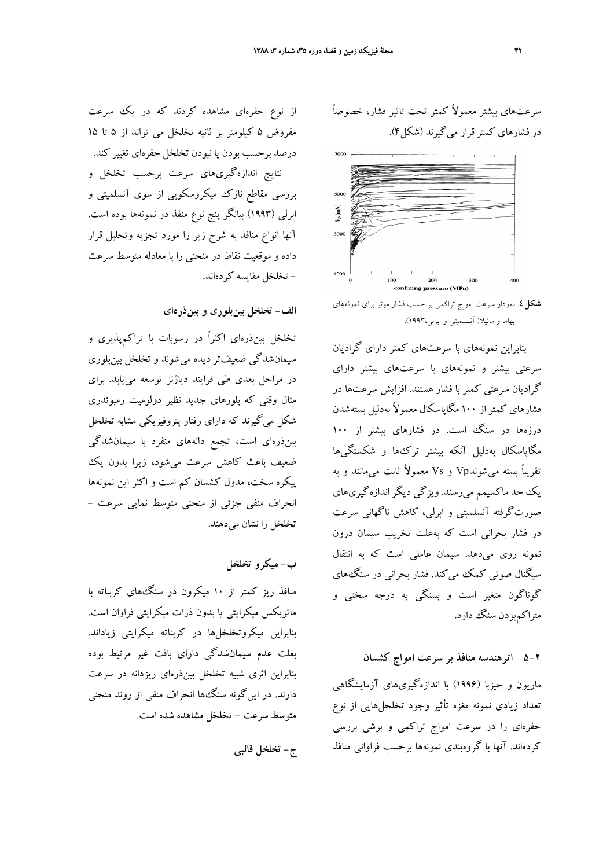سرعتهاي بيشتر معمولاً كمتر تحت تاثير فشار، خصوصاً در فشارهاي كمتر قرار ميگيرند (شكل4).



**شكل.4** نمودار سرعت امواج تراكمي بر حسب فشار موثر براي نمونههاي بهاما و مائيلا( آنسلميتي و ابرلي1993،).

بنابراين نمونههاي با سرعتهاي كمتر داراي گراديان سرعتي بيشتر و نمونههاي با سرعتهاي بيشتر داراي گراديان سرعتي كمتر با فشار هستند. افزايش سرعتها در فشارهاي كمتراز 100 مگاپاسكال معمولاً بهدليل بستهشدن درزهها در سنگ است. در فشارهای بیشتر از ۱۰۰ مگاپاسكال بهدليل آنكه بيشتر تركها و شكستگيها تقريباً بسته ميشوندVp و Vs معمولاً ثابت ميمانند و به يك حد ماكسيمم ميرسند. ويژگي ديگر اندازهگيريهاي صورتگرفته آنسلميتي و ابرلي، كاهش ناگهاني سرعت در فشار بحراني است كه بهعلت تخريب سيمان درون نمونه روي ميدهد. سيمان عاملي است كه به انتقال سيگنال صوتي كمك ميكند. فشار بحراني در سنگهاي گوناگون متغير است و بستگي به درجه سختي و متراكمبودن سنگ دارد.

## **5-2 اثرهندسه منافذ بر سرعت امواج كشسان**

ماريون و جيزبا (1996) با اندازهگيريهاي آزمايشگاهي تعداد زيادي نمونه مغزه تأثير وجود تخلخلهايي از نوع حفرهاي را در سرعت امواج تراكمي و برشي بررسي كردهاند. آنها با گروهبندي نمونهها برحسب فراواني منافذ

از نوع حفرهاي مشاهده كردند كه در يك سرعت مفروض 5 كيلومتر بر ثانيه تخلخل مي تواند از 5 تا 15 درصد برحسب بودن يا نبودن تخلخل حفرهاي تغيير كند. نتايج اندازهگيريهاي سرعت برحسب تخلخل و بررسي مقاطع نازك ميكروسكوپي از سوي آنسلميتي و ابرلي (1993) بيانگر پنج نوع منفذ در نمونهها بوده است. آنها انواع منافذ به شرح زير را مورد تجزيه وتحليل قرار داده و موقعيت نقاط در منحني را با معادله متوسط سرعت - تخلخل مقايسه كردهاند.

**الف- تخلخل بينبلوري و بينذرهاي**

تخلخل بينذرهاي اكثراً در رسوبات با تراكمپذيري و سيمانشدگي ضعيفتر ديده ميشوند و تخلخل بينبلوري در مراحل بعدي طي فرايند دياژنز توسعه مييابد. براي مثال وقتي كه بلورهاي جديد نظير دولوميت رمبوئدري شكل ميگيرند كه داراي رفتار پتروفيزيكي مشابه تخلخل بينذرهاي است، تجمع دانههاي منفرد با سيمانشدگي ضعيف باعث كاهش سرعت ميشود، زيرا بدون يك پيكره سخت، مدول كشسان كم است و اكثر اين نمونهها انحراف منفي جزئي از منحني متوسط نمايي سرعت - تخلخل را نشان ميدهند.

**ب- ميكرو تخلخل**

منافذ ريز كمتر از 10 ميكرون در سنگهاي كربناته با ماتريكس ميكرايتي يا بدون ذرات ميكرايتي فراوان است. بنابراين ميكروتخلخلها در كربناته ميكرايتي زياداند. بعلت عدم سيمانشدگي داراي بافت غير مرتبط بوده بنابراين اثري شبيه تخلخل بينذرهاي ريزدانه در سرعت دارند. در اينگونه سنگها انحراف منفي از روند منحني متوسط سرعت – تخلخل مشاهده شده است.

**ج- تخلخل قالبي**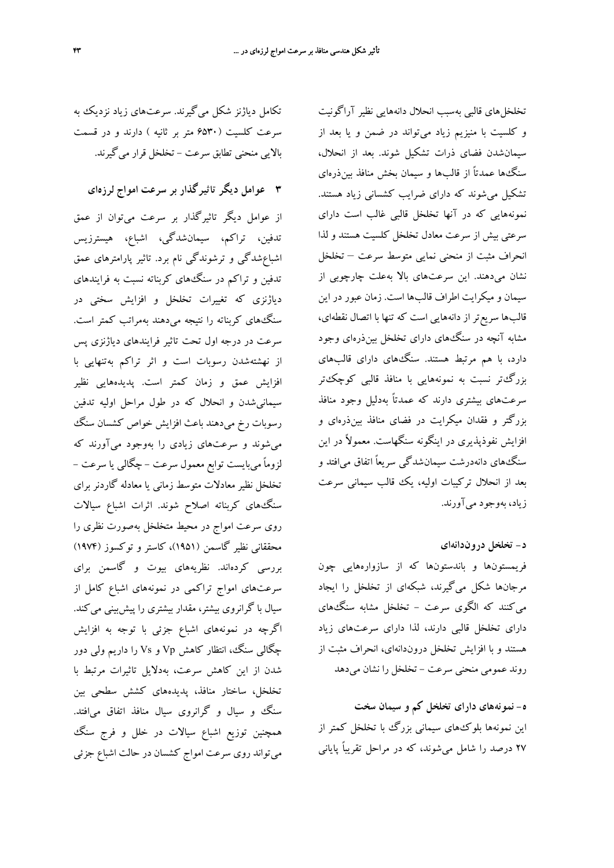تكامل دياژنز شكل ميگيرند. سرعتهاي زياد نزديك به سرعت كلسيت (6530 متر بر ثانيه ) دارند و در قسمت بالايي منحني تطابق سرعت - تخلخل قرار ميگيرند.

**3 عوامل ديگر تاثيرگذار بر سرعت امواج لرزهاي**

از عوامل ديگر تاثيرگذار بر سرعت ميتوان از عمق تدفين، تراكم، سيمانشدگي، اشباع، هيسترزيس اشباعشدگي و ترشوندگي نام برد. تاثير پارامترهاي عمق تدفين و تراكم در سنگهاي كربناته نسبت به فرايندهاي دياژنزي كه تغييرات تخلخل و افزايش سختي در سنگهاي كربناته را نتيجه ميدهند بهمراتب كمتر است. سرعت در درجه اول تحت تاثير فرايندهاي دياژنزي پس از نهشتهشدن رسوبات است و اثر تراكم بهتنهايي با افزايش عمق و زمان كمتر است. پديدههايي نظير سيمانيشدن و انحلال كه در طول مراحل اوليه تدفين رسوبات رخ ميدهند باعث افزايش خواص كشسان سنگ ميشوند و سرعتهاي زيادي را بهوجود ميآورند كه لزوماً ميبايست توابع معمول سرعت - چگالي يا سرعت - تخلخل نظير معادلات متوسط زماني يا معادله گاردنر براي سنگهاي كربناته اصلاح شوند. اثرات اشباع سيالات روي سرعت امواج در محيط متخلخل بهصورت نظري را محققاني نظير گاسمن (1951)، كاستر و توكسوز (1974) بررسي كردهاند. نظريههاي بيوت و گاسمن براي سرعتهاي امواج تراكمي در نمونههاي اشباع كامل از سيال با گرانروي بيشتر، مقدار بيشتري را پيشبيني ميكند. اگرچه در نمونههاي اشباع جزئي با توجه به افزايش چگالي سنگ، انتظار كاهش Vp و Vs را داريم ولي دور شدن از اين كاهش سرعت، بهدلايل تاثيرات مرتبط با تخلخل، ساختار منافذ، پديدههاي كشش سطحي بين سنگ و سيال و گرانروي سيال منافذ اتفاق ميافتد. همچنين توزيع اشباع سيالات در خلل و فرج سنگ ميتواند روي سرعت امواج كشسان در حالت اشباع جزئي

تخلخلهاي قالبي بهسبب انحلال دانههايي نظير آراگونيت و كلسيت با منيزيم زياد ميتواند در ضمن و يا بعد از سيمانشدن فضاي ذرات تشكيل شوند. بعد از انحلال، سنگها عمدتاً از قالبها و سيمان بخش منافذ بينذرهاي تشكيل ميشوند كه داراي ضرايب كشساني زياد هستند. نمونههايي كه در آنها تخلخل قالبي غالب است داراي سرعتي بيش از سرعت معادل تخلخل كلسيت هستند و لذا انحراف مثبت از منحني نمايي متوسط سرعت – تخلخل نشان ميدهند. اين سرعتهاي بالا بهعلت چارچوبي از سيمان و ميكرايت اطراف قالبها است. زمان عبور در اين قالبها سريعتر از دانههايي است كه تنها با اتصال نقطهاي، مشابه آنچه در سنگهاي داراي تخلخل بينذرهاي وجود دارد، با هم مرتبط هستند. سنگهاي داراي قالبهاي بزرگتر نسبت به نمونههايي با منافذ قالبي كوچكتر سرعتهاي بيشتري دارند كه عمدتاً بهدليل وجود منافذ بزرگتر و فقدان ميكرايت در فضاي منافذ بينذرهاي و افزايش نفوذپذيري در اينگونه سنگهاست. معمولاً در اين سنگهاي دانهدرشت سيمانشدگي سريعاً اتفاق ميافتد و بعد از انحلال تركيبات اوليه، يك قالب سيماني سرعت زياد، بهوجود ميآورند.

#### **د- تخلخل دروندانهاي**

فريمستونها و باندستونها كه از سازوارههايي چون مرجانها شكل ميگيرند، شبكهاي از تخلخل را ايجاد ميكنند كه الگوي سرعت - تخلخل مشابه سنگهاي داراي تخلخل قالبي دارند، لذا داراي سرعتهاي زياد هستند و با افزايش تخلخل دروندانهاي، انحراف مثبت از روند عمومي منحني سرعت - تخلخل را نشان ميدهد

**ه- نمونههاي داراي تخلخل كم و سيمان سخت** اين نمونهها بلوكهاي سيماني بزرگ با تخلخل كمتر از 27 درصد را شامل ميشوند، كه در مراحل تقريباً پاياني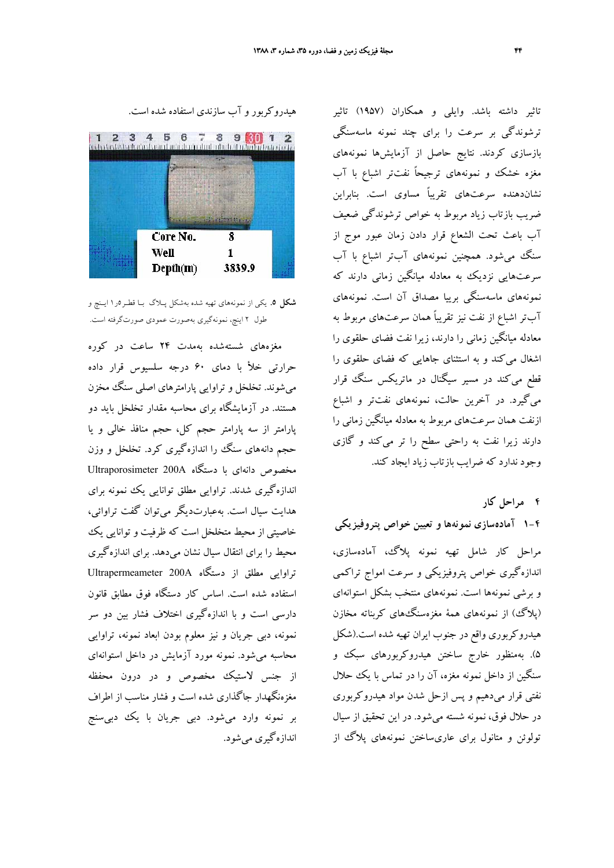تاثير داشته باشد. وايلي و همكاران (1957) تاثير ترشوندگي بر سرعت را براي چند نمونه ماسهسنگي بازسازي كردند. نتايج حاصل از آزمايشها نمونههاي مغزه خشك و نمونههاي ترجيحاً نفتتر اشباع با آب نشاندهنده سرعتهاي تقريباً مساوي است. بنابراين ضريب بازتاب زياد مربوط به خواص ترشوندگي ضعيف آب باعث تحت الشعاع قرار دادن زمان عبور موج از سنگ ميشود. همچنين نمونههاي آبتر اشباع با آب سرعتهايي نزديك به معادله ميانگين زماني دارند كه نمونههاي ماسهسنگي برييا مصداق آن است. نمونههاي آبتر اشباع از نفت نيز تقريباً همان سرعتهاي مربوط به معادله ميانگين زماني را دارند، زيرا نفت فضاي حلقوي را اشغال ميكند و به استثناي جاهايي كه فضاي حلقوي را قطع ميكند در مسير سيگنال در ماتريكس سنگ قرار ميگيرد. در آخرين حالت، نمونههاي نفتتر و اشباع ازنفت همان سرعتهاي مربوط به معادله ميانگين زماني را دارند زيرا نفت به راحتي سطح را تر ميكند و گازي وجود ندارد كه ضرايب بازتاب زياد ايجاد كند.

**4 مراحل كار**

**1-4 آمادهسازي نمونهها و تعيين خواص پتروفيزيكي** مراحل كار شامل تهيه نمونه پلاگ، آمادهسازي، اندازهگيري خواص پتروفيزيكي و سرعت امواج تراكمي و برشي نمونهها است. نمونههاي منتخب بشكل استوانهاي (پلاگ) از نمونههاي همة مغزهسنگهاي كربناته مخازن هيدروكربوري واقع در جنوب ايران تهيه شده است.(شكل 5). بهمنظور خارج ساختن هيدروكربورهاي سبك و سنگين از داخل نمونه مغزه، آن را در تماس با يك حلال نفتي قرار ميدهيم و پس ازحل شدن مواد هيدروكربوري در حلال فوق، نمونه شسته ميشود. در اين تحقيق از سيال تولوئن و متانول براي عاريساختن نمونههاي پلاگ از





**شكل .5** يكي از نمونههاي تهيه شده بهشكل پـلاگ بـا قطـر5ر1 ايـنچ و طول 2 اينچ، نمونهگيري بهصورت عمودي صورتگرفته است.

مغزههاي شستهشده بهمدت 24 ساعت در كوره حرارتي خلأ با دماي 60 درجه سلسيوس قرار داده ميشوند. تخلخل و تراوايي پارامترهاي اصلي سنگ مخزن هستند. در آزمايشگاه براي محاسبه مقدار تخلخل بايد دو پارامتر از سه پارامتر حجم كل، حجم منافذ خالي و يا حجم دانههاي سنگ را اندازهگيري كرد. تخلخل و وزن مخصوص دانهاي با دستگاه A200 Ultraporosimeter اندازهگيري شدند. تراوايي مطلق توانايي يك نمونه براي هدايت سيال است. بهعبارتديگر ميتوان گفت تراوائي، خاصيتي از محيط متخلخل است كه ظرفيت و توانايي يك محيط را براي انتقال سيال نشان ميدهد. براي اندازهگيري تراوايي مطلق از دستگاه A200 Ultrapermeameter استفاده شده است. اساس كار دستگاه فوق مطابق قانون دارسي است و با اندازهگيري اختلاف فشار بين دو سر نمونه، دبي جريان و نيز معلوم بودن ابعاد نمونه، تراوايي محاسبه ميشود. نمونه مورد آزمايش در داخل استوانهاي از جنس لاستيك مخصوص و در درون محفظه مغزهنگهدار جاگذاري شده است و فشار مناسب از اطراف بر نمونه وارد ميشود. دبي جريان با يك دبيسنج اندازهگيري ميشود.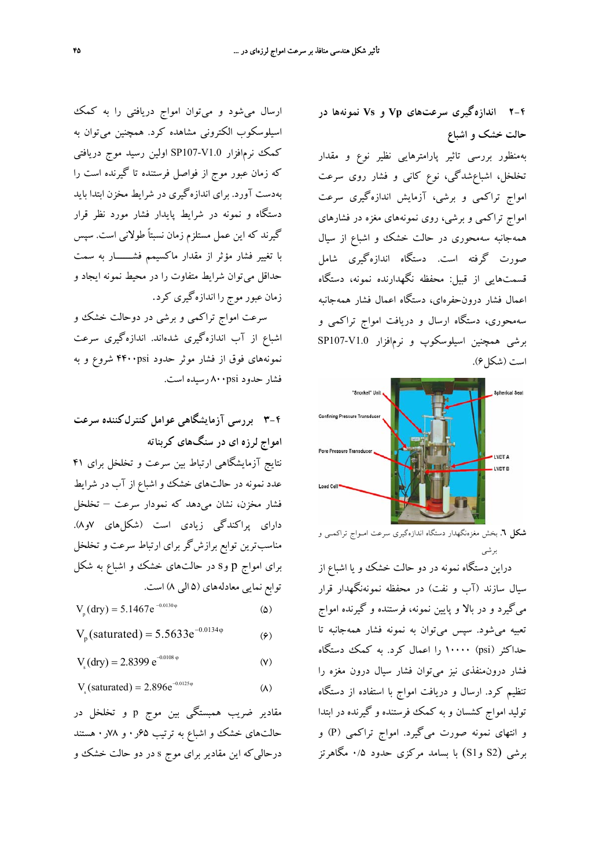**2-4 اندازهگيري سرعتهاي Vp و Vs نمونهها در حالت خشك و اشباع**

بهمنظور بررسي تاثير پارامترهايي نظير نوع و مقدار تخلخل، اشباعشدگي، نوع كاني و فشار روي سرعت امواج تراكمي و برشي، آزمايش اندازهگيري سرعت امواج تراكمي و برشي، روي نمونههاي مغزه در فشارهاي همهجانبه سهمحوري در حالت خشك و اشباع از سيال صورت گرفته است. دستگاه اندازهگيري شامل قسمتهايي از قبيل: محفظه نگهدارنده نمونه، دستگاه اعمال فشار درونحفرهاي، دستگاه اعمال فشار همهجانبه سهمحوري، دستگاه ارسال و دريافت امواج تراكمي و برشي همچنين اسيلوسكوپ و نرمافزار 1.0V107-SP است (شكل ۶).



**شكل .6** بخش مغزهنگهدار دستگاه اندازهگيري سرعت امـواج تراكمـي و برشي

دراين دستگاه نمونه در دو حالت خشك و يا اشباع از سيال سازند (آب و نفت) در محفظه نمونهنگهدار قرار ميگيرد و در بالا و پايين نمونه، فرستنده و گيرنده امواج تعبيه ميشود. سپس ميتوان به نمونه فشار همهجانبه تا حداكثر (psi (10000 را اعمال كرد. به كمك دستگاه فشار درونمنفذي نيز ميتوان فشار سيال درون مغزه را تنظيم كرد. ارسال و دريافت امواج با استفاده از دستگاه توليد امواج كشسان و به كمك فرستنده و گيرنده در ابتدا و انتهاي نمونه صورت ميگيرد. امواج تراكمي (P (و برشي (2S و1S (با بسامد مركزي حدود 0/5 مگاهرتز

ارسال ميشود و ميتوان امواج دريافتي را به كمك اسيلوسكوب الكتروني مشاهده كرد. همچنين ميتوان به كمك نرمافزار 1.0V107-SP اولين رسيد موج دريافتي كه زمان عبور موج از فواصل فرستنده تا گيرنده است را بهدست آورد. براي اندازهگيري در شرايط مخزن ابتدا بايد دستگاه و نمونه در شرايط پايدار فشار مورد نظر قرار گيرند كه اين عمل مستلزم زمان نسبتاً طولاني است. سپس با تغيير فشار مؤثر از مقدار ماكسيمم فشــــــار به سمت حداقل ميتوان شرايط متفاوت را در محيط نمونه ايجاد و زمان عبور موج را اندازهگيري كرد.

سرعت امواج تراكمي و برشي در دوحالت خشك و اشباع از آب اندازهگيري شدهاند. اندازهگيري سرعت نمونههاي فوق از فشار موثر حدود psi4400 شروع و به فشار حدود psi800 رسيده است.

**3-4 بررسي آزمايشگاهي عوامل كنترلكننده سرعت امواج لرزه اي در سنگهاي كربناته** نتايج آزمايشگاهي ارتباط بين سرعت و تخلخل براي 41 عدد نمونه در حالتهاي خشك و اشباع از آب در شرايط

فشار مخزن، نشان ميدهد كه نمودار سرعت – تخلخل داراي پراكندگي زيادي است (شكلهاي 7و8). مناسبترين توابع برازشگر براي ارتباط سرعت و تخلخل براي امواج p وs در حالتهاي خشك و اشباع به شكل توابع نمايي معادلههاي (5 الي 8) است.

$$
V_{p}(dry) = 5.1467e^{-0.0130\phi}
$$
 (2)

$$
V_p
$$
(saturated) = 5.5633 $e^{-0.0134\phi}$  (9)

$$
V_s(dry) = 2.8399 e^{-0.0108 \varphi}
$$
 (V)

$$
V_s(saturated) = 2.896e^{-0.0125\varphi}
$$
 (A)

مقادير ضريب همبستگي بين موج p و تخلخل در حالتهاي خشك و اشباع به ترتيب 65ر0 و 78ر0 هستند درحاليكه اين مقادير براي موج s در دو حالت خشك و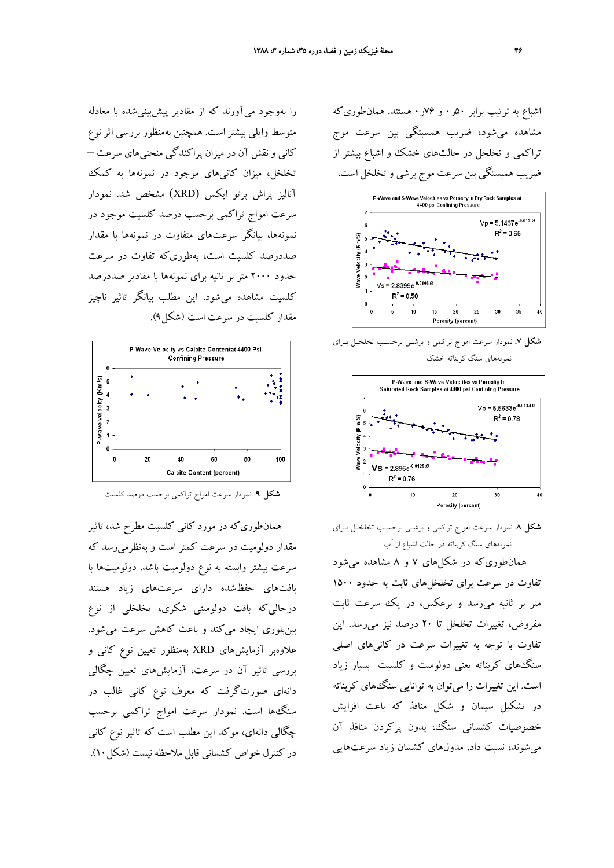اشباع به ترتيب برابر 50ر0 و 76ر0 هستند. همانطوريكه مشاهده ميشود، ضريب همسبتگي بين سرعت موج تراكمي و تخلخل در حالتهاي خشك و اشباع بيشتر از ضريب همبستگي بين سرعت موج برشي و تخلخل است.



**شكل .7** نمودار سرعت امواج تراكمي و برشـي برحسـب تخلخـل بـراي نمونههاي سنگ كربناته خشك



**شكل .8** نمودار سرعت امواج تراكمي و برشـي برحسـب تخلخـل بـراي نمونههاي سنگ كربناته در حالت اشباع از آب

همانطوريكه در شكلهاي 7 و 8 مشاهده ميشود تفاوت در سرعت براي تخلخلهاي ثابت به حدود 1500 متر بر ثانيه ميرسد و برعكس، در يك سرعت ثابت مفروض، تغييرات تخلخل تا 20 درصد نيز ميرسد. اين تفاوت با توجه به تغييرات سرعت در كانيهاي اصلي سنگهاي كربناته يعني دولوميت و كلسيت بسيار زياد است. اين تغييرات را ميتوان به توانايي سنگهاي كربناته در تشكيل سيمان و شكل منافذ كه باعث افزايش خصوصيات كشساني سنگ، بدون پركردن منافذ آن ميشوند، نسبت داد. مدولهاي كشسان زياد سرعتهايي

را بهوجود ميآورند كه از مقادير پيشبينيشده با معادله متوسط وايلي بيشتر است. همچنين بهمنظور بررسي اثر نوع كاني و نقش آن در ميزان پراكندگي منحنيهاي سرعت – تخلخل، ميزان كانيهاي موجود در نمونهها به كمك آناليز پراش پرتو ايكس (XRD (مشخص شد. نمودار سرعت امواج تراكمي برحسب درصد كلسيت موجود در نمونهها، بيانگر سرعتهاي متفاوت در نمونهها با مقدار صددرصد كلسيت است، بهطوريكه تفاوت در سرعت حدود 2000 متر بر ثانيه براي نمونهها با مقادير صددرصد كلسيت مشاهده ميشود. اين مطلب بيانگر تاثير ناچيز مقدار كلسيت در سرعت است (شكل9).



**شكل .9** نمودار سرعت امواج تراكمي برحسب درصد كلسيت

همانطوريكه در مورد كاني كلسيت مطرح شد، تاثير مقدار دولوميت در سرعت كمتر است و بهنظرميرسد كه سرعت بيشتر وابسته به نوع دولوميت باشد. دولوميتها با بافتهاي حفظشده داراي سرعتهاي زياد هستند درحاليكه بافت دولوميتي شكري، تخلخلي از نوع بينبلوري ايجاد ميكند و باعث كاهش سرعت ميشود. علاوهبر آزمايشهاي XRD بهمنظور تعيين نوع كاني و بررسي تاثير آن در سرعت، آزمايشهاي تعيين چگالي دانهاي صورتگرفت كه معرف نوع كاني غالب در سنگها است. نمودار سرعت امواج تراكمي برحسب چگالي دانهاي، موكد اين مطلب است كه تاثير نوع كاني در كنترل خواص كشساني قابل ملاحظه نيست (شكل10).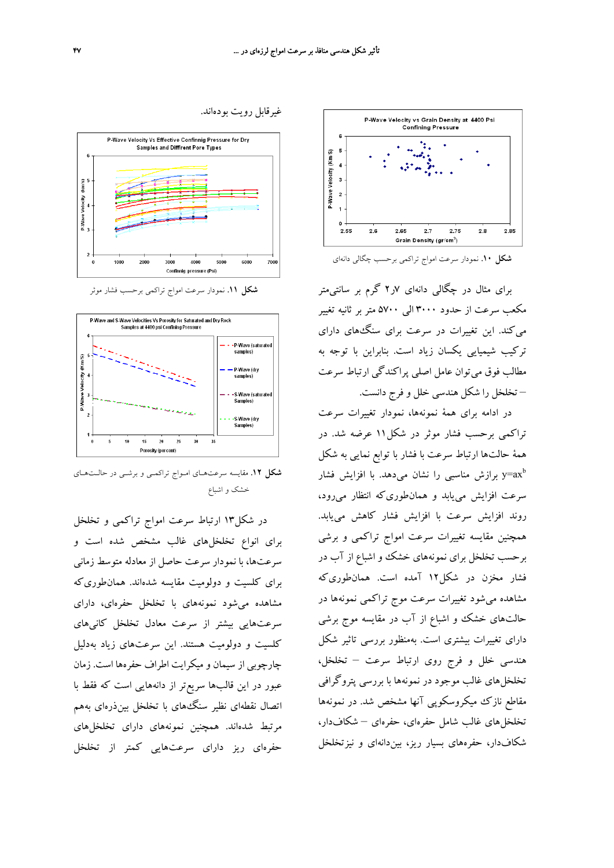



غيرقابل رويت بودهاند.

**شكل .11** نمودار سرعت امواج تراكمي برحسب فشار موثر

Confinnia pressure (Psi)



**شكل .12** مقايسه سرعتهـاي امـواج تراكمـي و برشـي در حالـتهـاي خشك و اشباع

در شكل13 ارتباط سرعت امواج تراكمي و تخلخل براي انواع تخلخلهاي غالب مشخص شده است و سرعتها، با نمودار سرعت حاصل از معادله متوسط زماني براي كلسيت و دولوميت مقايسه شدهاند. همانطوريكه مشاهده ميشود نمونههاي با تخلخل حفرهاي، داراي سرعتهايي بيشتر از سرعت معادل تخلخل كانيهاي كلسيت و دولوميت هستند. اين سرعتهاي زياد بهدليل چارچوبي از سيمان و ميكرايت اطراف حفرهها است. زمان عبور در اين قالبها سريعتر از دانههايي است كه فقط با اتصال نقطهاي نظير سنگهاي با تخلخل بينذرهاي بههم مرتبط شدهاند. همچنين نمونههاي داراي تخلخلهاي حفرهاي ريز داراي سرعتهايي كمتر از تخلخل **شكل .10** نمودار سرعت امواج تراكمي برحسب چگالي دانهاي

براي مثال در چگالي دانهاي 7ر2 گرم بر سانتيمتر مكعب سرعت از حدود 3000 الي 5700 متر بر ثانيه تغيير ميكند. اين تغييرات در سرعت براي سنگهاي داراي تركيب شيميايي يكسان زياد است. بنابراين با توجه به مطالب فوق ميتوان عامل اصلي پراكندگي ارتباط سرعت – تخلخل را شكل هندسي خلل و فرج دانست.

در ادامه براي همة نمونهها، نمودار تغييرات سرعت تراكمي برحسب فشار موثر در شكل11 عرضه شد. در همة حالتها ارتباط سرعت با فشار با توابع نمايي به شكل برازش مناسبی را نشان میدهد. با افزایش فشار y=ax $^{\rm b}$ سرعت افزايش مييابد و همانطوريكه انتظار ميرود، روند افزايش سرعت با افزايش فشار كاهش مييابد. همچنين مقايسه تغييرات سرعت امواج تراكمي و برشي برحسب تخلخل براي نمونههاي خشك و اشباع از آب در فشار مخزن در شكل12 آمده است. همانطوريكه مشاهده ميشود تغييرات سرعت موج تراكمي نمونهها در حالتهاي خشك و اشباع از آب در مقايسه موج برشي داراي تغييرات بيشتري است. بهمنظور بررسي تاثير شكل هندسي خلل و فرج روي ارتباط سرعت – تخلخل، تخلخلهاي غالب موجود در نمونهها با بررسي پتروگرافي مقاطع نازك ميكروسكوپي آنها مشخص شد. در نمونهها تخلخلهاي غالب شامل حفرهاي، حفرهاي – شكافدار، شكافدار، حفرههاي بسيار ريز، بيندانهاي و نيزتخلخل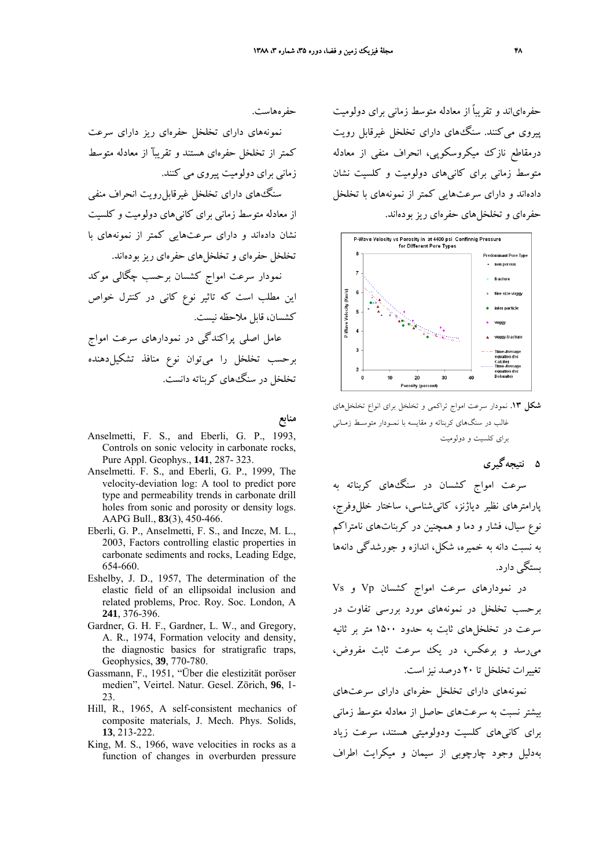حفرهاياند و تقريباً از معادله متوسط زماني براي دولوميت پيروي ميكنند. سنگهاي داراي تخلخل غيرقابل رويت درمقاطع نازك ميكروسكوپي، انحراف منفي از معادله متوسط زماني براي كانيهاي دولوميت و كلسيت نشان دادهاند و داراي سرعتهايي كمتر از نمونههاي با تخلخل حفرهاي و تخلخلهاي حفرهاي ريز بودهاند.



**شكل .13** نمودار سرعت امواج تراكمي و تخلخل براي انواع تخلخلهاي غالب در سنگهاي كربناته و مقايسه با نمـودار متوسـط زمـاني براي كلسيت و دولوميت

**5 نتيجهگيري**

سرعت امواج كشسان در سنگهاي كربناته به پارامترهاي نظير دياژنز، كانيشناسي، ساختار خللوفرج، نوع سيال، فشار و دما و همچنين در كربناتهاي نامتراكم به نسبت دانه به خميره، شكل، اندازه و جورشدگي دانهها بستگي دارد.

در نمودارهاي سرعت امواج كشسان Vp و Vs برحسب تخلخل در نمونههاي مورد بررسي تفاوت در سرعت در تخلخلهاي ثابت به حدود 1500 متر بر ثانيه ميرسد و برعكس، در يك سرعت ثابت مفروض، تغييرات تخلخل تا 20 درصد نيزاست.

نمونههاي داراي تخلخل حفرهاي داراي سرعتهاي بيشتر نسبت به سرعتهاي حاصل از معادله متوسط زماني براي كانيهاي كلسيت ودولوميتي هستند، سرعت زياد بهدليل وجود چارچوبي از سيمان و ميكرايت اطراف

حفرههاست.

نمونههاي داراي تخلخل حفرهاي ريز داراي سرعت كمتر از تخلخل حفرهاي هستند و تقريبĤ از معادله متوسط زماني براي دولوميت پيروي مي كنند.

سنگهاي داراي تخلخل غيرقابلرويت انحراف منفي از معادله متوسط زماني براي كانيهاي دولوميت و كلسيت نشان دادهاند و داراي سرعتهايي كمتر از نمونههاي با تخلخل حفرهاي و تخلخلهاي حفرهاي ريز بودهاند.

نمودار سرعت امواج كشسان برحسب چگالي موكد اين مطلب است كه تاثير نوع كاني در كنترل خواص كشسان، قابل ملاحظه نيست.

عامل اصلي پراكندگي در نمودارهاي سرعت امواج برحسب تخلخل را ميتوان نوع منافذ تشكيلدهنده تخلخل در سنگهاي كربناته دانست.

#### **منابع**

- Anselmetti, F. S., and Eberli, G. P., 1993, Controls on sonic velocity in carbonate rocks, Pure Appl. Geophys., **141**, 287- 323.
- Anselmetti. F. S., and Eberli, G. P., 1999, The velocity-deviation log: A tool to predict pore type and permeability trends in carbonate drill holes from sonic and porosity or density logs. AAPG Bull., **83**(3), 450-466.
- Eberli, G. P., Anselmetti, F. S., and Incze, M. L., 2003, Factors controlling elastic properties in carbonate sediments and rocks, Leading Edge, 654-660.
- Eshelby, J. D., 1957, The determination of the elastic field of an ellipsoidal inclusion and related problems, Proc. Roy. Soc. London, A **241**, 376-396.
- Gardner, G. H. F., Gardner, L. W., and Gregory, A. R., 1974, Formation velocity and density, the diagnostic basics for stratigrafic traps, Geophysics, **39**, 770-780.
- Gassmann, F., 1951, "Über die elestizität poröser medien", Veirtel. Natur. Gesel. Zörich, **96**, 1- 23.
- Hill, R., 1965, A self-consistent mechanics of composite materials, J. Mech. Phys. Solids, **13**, 213-222.
- King, M. S., 1966, wave velocities in rocks as a function of changes in overburden pressure